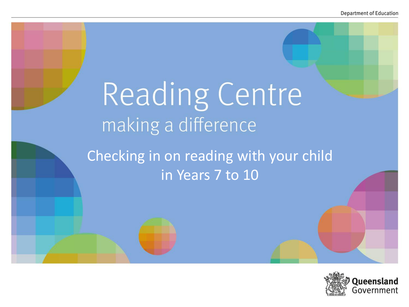# Reading Centre making a difference

Checking in on reading with your child in Years 7 to 10

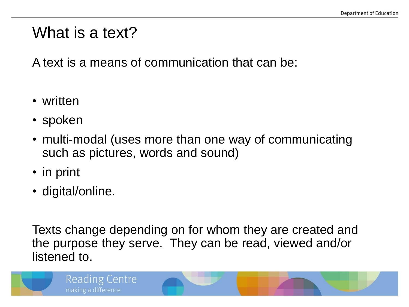#### What is a text?

A text is a means of communication that can be:

- written
- spoken
- multi-modal (uses more than one way of communicating such as pictures, words and sound)
- in print
- digital/online.

Texts change depending on for whom they are created and the purpose they serve. They can be read, viewed and/or listened to.

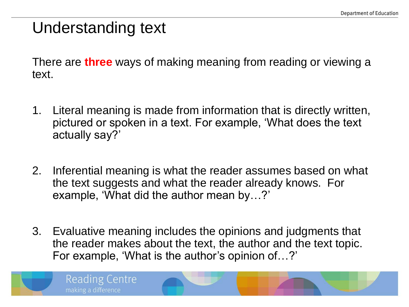## Understanding text

**Reading Centre** 

making a difference

There are **three** ways of making meaning from reading or viewing a text.

- 1. Literal meaning is made from information that is directly written, pictured or spoken in a text. For example, 'What does the text actually say?'
- 2. Inferential meaning is what the reader assumes based on what the text suggests and what the reader already knows. For example, 'What did the author mean by…?'
- 3. Evaluative meaning includes the opinions and judgments that the reader makes about the text, the author and the text topic. For example, 'What is the author's opinion of…?'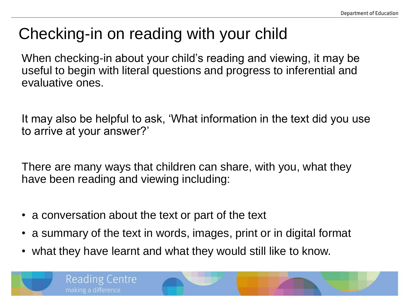# Checking-in on reading with your child

When checking-in about your child's reading and viewing, it may be useful to begin with literal questions and progress to inferential and evaluative ones.

It may also be helpful to ask, 'What information in the text did you use to arrive at your answer?'

There are many ways that children can share, with you, what they have been reading and viewing including:

- a conversation about the text or part of the text
- a summary of the text in words, images, print or in digital format
- what they have learnt and what they would still like to know.

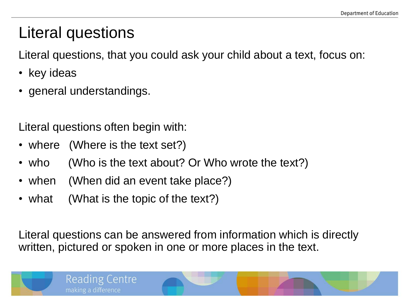# Literal questions

Literal questions, that you could ask your child about a text, focus on:

- key ideas
- general understandings.

Literal questions often begin with:

• where (Where is the text set?)

Reading Centre

making a difference

- who (Who is the text about? Or Who wrote the text?)
- when (When did an event take place?)
- what (What is the topic of the text?)

Literal questions can be answered from information which is directly written, pictured or spoken in one or more places in the text.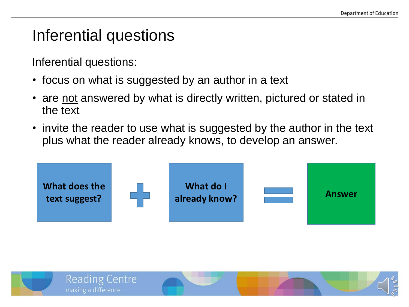### Inferential questions

Inferential questions:

- focus on what is suggested by an author in a text
- are not answered by what is directly written, pictured or stated in the text
- invite the reader to use what is suggested by the author in the text plus what the reader already knows, to develop an answer.



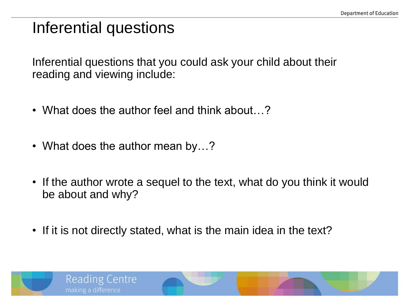## Inferential questions

Inferential questions that you could ask your child about their reading and viewing include:

- What does the author feel and think about...?
- What does the author mean by...?
- If the author wrote a sequel to the text, what do you think it would be about and why?
- If it is not directly stated, what is the main idea in the text?

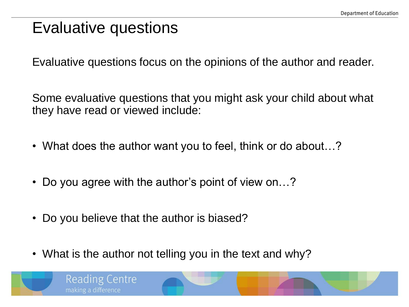### Evaluative questions

Evaluative questions focus on the opinions of the author and reader.

Some evaluative questions that you might ask your child about what they have read or viewed include:

- What does the author want you to feel, think or do about...?
- Do you agree with the author's point of view on…?
- Do you believe that the author is biased?
- What is the author not telling you in the text and why?